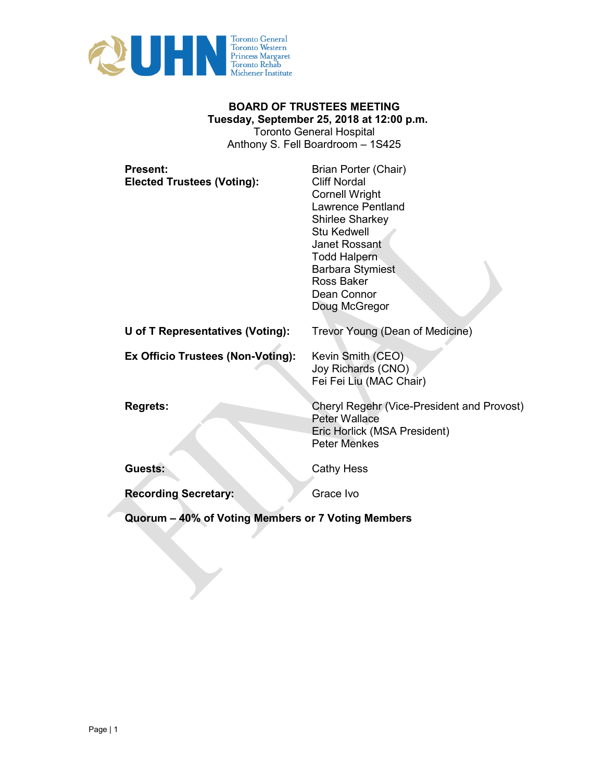

## **BOARD OF TRUSTEES MEETING Tuesday, September 25, 2018 at 12:00 p.m.**  Toronto General Hospital

Anthony S. Fell Boardroom – 1S425

| <b>Present:</b><br><b>Elected Trustees (Voting):</b> | Brian Porter (Chair)<br><b>Cliff Nordal</b><br><b>Cornell Wright</b><br><b>Lawrence Pentland</b><br><b>Shirlee Sharkey</b><br><b>Stu Kedwell</b><br><b>Janet Rossant</b><br><b>Todd Halpern</b><br><b>Barbara Stymiest</b><br>Ross Baker<br>Dean Connor<br>Doug McGregor |
|------------------------------------------------------|--------------------------------------------------------------------------------------------------------------------------------------------------------------------------------------------------------------------------------------------------------------------------|
| U of T Representatives (Voting):                     | Trevor Young (Dean of Medicine)                                                                                                                                                                                                                                          |
| Ex Officio Trustees (Non-Voting):                    | Kevin Smith (CEO)<br>Joy Richards (CNO)<br>Fei Fei Liu (MAC Chair)                                                                                                                                                                                                       |
| <b>Regrets:</b>                                      | <b>Cheryl Regehr (Vice-President and Provost)</b><br><b>Peter Wallace</b><br>Eric Horlick (MSA President)<br><b>Peter Menkes</b>                                                                                                                                         |
| Guests:                                              | <b>Cathy Hess</b>                                                                                                                                                                                                                                                        |
| <b>Recording Secretary:</b>                          | Grace Ivo                                                                                                                                                                                                                                                                |

**Quorum – 40% of Voting Members or 7 Voting Members**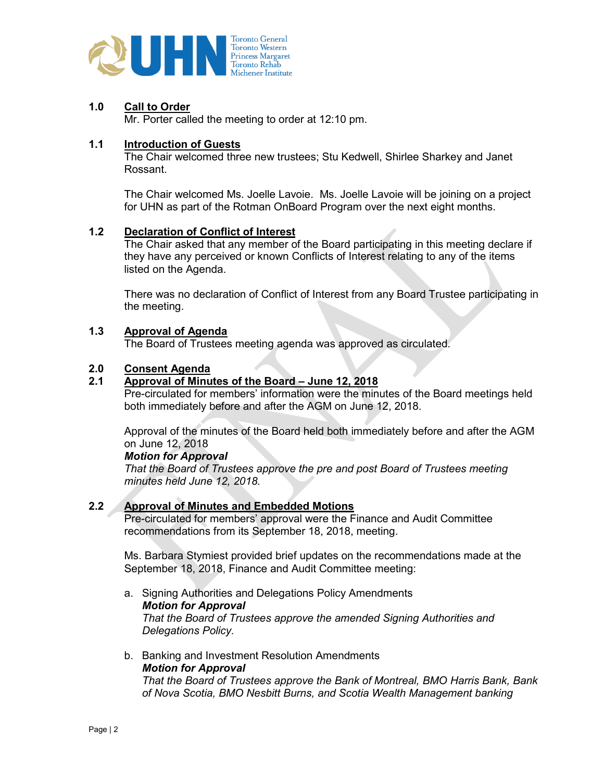

## **1.0 Call to Order**

Mr. Porter called the meeting to order at 12:10 pm.

### **1.1 Introduction of Guests**

The Chair welcomed three new trustees; Stu Kedwell, Shirlee Sharkey and Janet Rossant.

The Chair welcomed Ms. Joelle Lavoie. Ms. Joelle Lavoie will be joining on a project for UHN as part of the Rotman OnBoard Program over the next eight months.

## **1.2 Declaration of Conflict of Interest**

The Chair asked that any member of the Board participating in this meeting declare if they have any perceived or known Conflicts of Interest relating to any of the items listed on the Agenda.

There was no declaration of Conflict of Interest from any Board Trustee participating in the meeting.

### **1.3 Approval of Agenda**

The Board of Trustees meeting agenda was approved as circulated.

## **2.0 Consent Agenda**

### **2.1 Approval of Minutes of the Board – June 12, 2018**

Pre-circulated for members' information were the minutes of the Board meetings held both immediately before and after the AGM on June 12, 2018.

Approval of the minutes of the Board held both immediately before and after the AGM on June 12, 2018

#### *Motion for Approval*

*That the Board of Trustees approve the pre and post Board of Trustees meeting minutes held June 12, 2018.*

## **2.2 Approval of Minutes and Embedded Motions**

Pre-circulated for members' approval were the Finance and Audit Committee recommendations from its September 18, 2018, meeting.

Ms. Barbara Stymiest provided brief updates on the recommendations made at the September 18, 2018, Finance and Audit Committee meeting:

a. Signing Authorities and Delegations Policy Amendments *Motion for Approval That the Board of Trustees approve the amended Signing Authorities and Delegations Policy.* 

### b. Banking and Investment Resolution Amendments *Motion for Approval That the Board of Trustees approve the Bank of Montreal, BMO Harris Bank, Bank of Nova Scotia, BMO Nesbitt Burns, and Scotia Wealth Management banking*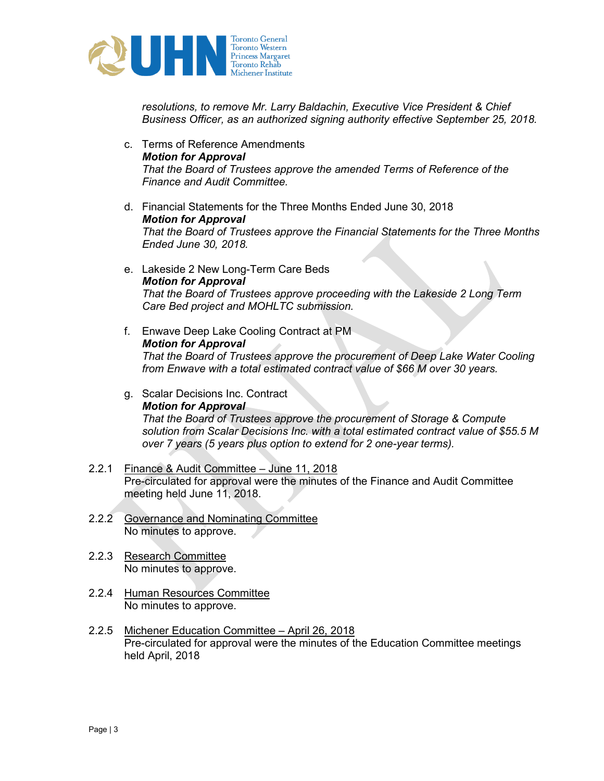

*resolutions, to remove Mr. Larry Baldachin, Executive Vice President & Chief Business Officer, as an authorized signing authority effective September 25, 2018.* 

- c. Terms of Reference Amendments *Motion for Approval That the Board of Trustees approve the amended Terms of Reference of the Finance and Audit Committee.*
- d. Financial Statements for the Three Months Ended June 30, 2018 *Motion for Approval That the Board of Trustees approve the Financial Statements for the Three Months Ended June 30, 2018.*
- e. Lakeside 2 New Long-Term Care Beds *Motion for Approval That the Board of Trustees approve proceeding with the Lakeside 2 Long Term Care Bed project and MOHLTC submission.*
- f. Enwave Deep Lake Cooling Contract at PM *Motion for Approval That the Board of Trustees approve the procurement of Deep Lake Water Cooling from Enwave with a total estimated contract value of \$66 M over 30 years.*
- g. Scalar Decisions Inc. Contract *Motion for Approval That the Board of Trustees approve the procurement of Storage & Compute solution from Scalar Decisions Inc. with a total estimated contract value of \$55.5 M over 7 years (5 years plus option to extend for 2 one-year terms).*
- 2.2.1 Finance & Audit Committee June 11, 2018 Pre-circulated for approval were the minutes of the Finance and Audit Committee meeting held June 11, 2018.
- 2.2.2 Governance and Nominating Committee No minutes to approve.
- 2.2.3 Research Committee No minutes to approve.
- 2.2.4 Human Resources Committee No minutes to approve.
- 2.2.5 Michener Education Committee April 26, 2018 Pre-circulated for approval were the minutes of the Education Committee meetings held April, 2018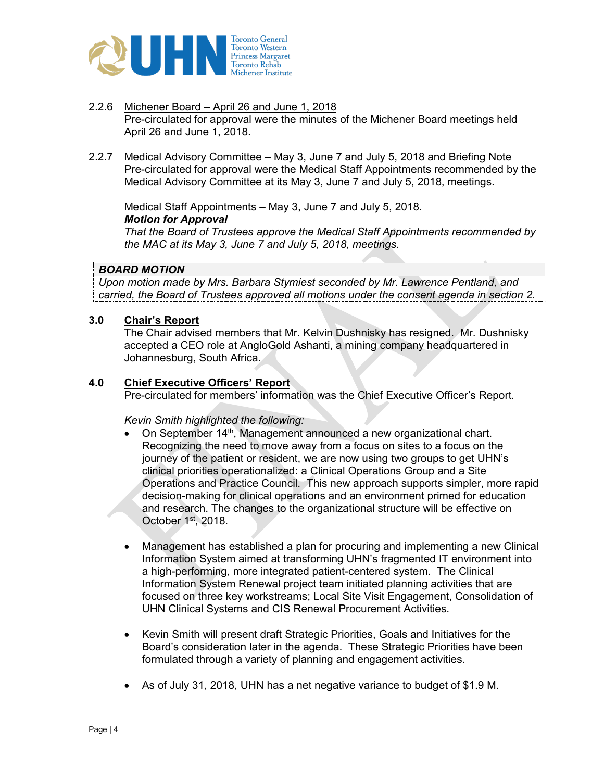

- 2.2.6 Michener Board April 26 and June 1, 2018 Pre-circulated for approval were the minutes of the Michener Board meetings held April 26 and June 1, 2018.
- 2.2.7 Medical Advisory Committee May 3, June 7 and July 5, 2018 and Briefing Note Pre-circulated for approval were the Medical Staff Appointments recommended by the Medical Advisory Committee at its May 3, June 7 and July 5, 2018, meetings.

Medical Staff Appointments – May 3, June 7 and July 5, 2018. *Motion for Approval*

*That the Board of Trustees approve the Medical Staff Appointments recommended by the MAC at its May 3, June 7 and July 5, 2018, meetings.*

## *BOARD MOTION*

*Upon motion made by Mrs. Barbara Stymiest seconded by Mr. Lawrence Pentland, and carried, the Board of Trustees approved all motions under the consent agenda in section 2.*

## **3.0 Chair's Report**

The Chair advised members that Mr. Kelvin Dushnisky has resigned. Mr. Dushnisky accepted a CEO role at AngloGold Ashanti, a mining company headquartered in Johannesburg, South Africa.

## **4.0 Chief Executive Officers' Report**

Pre-circulated for members' information was the Chief Executive Officer's Report.

*Kevin Smith highlighted the following:* 

- On September  $14<sup>th</sup>$ , Management announced a new organizational chart. Recognizing the need to move away from a focus on sites to a focus on the journey of the patient or resident, we are now using two groups to get UHN's clinical priorities operationalized: a Clinical Operations Group and a Site Operations and Practice Council. This new approach supports simpler, more rapid decision-making for clinical operations and an environment primed for education and research. The changes to the organizational structure will be effective on October 1st, 2018.
- Management has established a plan for procuring and implementing a new Clinical Information System aimed at transforming UHN's fragmented IT environment into a high-performing, more integrated patient-centered system. The Clinical Information System Renewal project team initiated planning activities that are focused on three key workstreams; Local Site Visit Engagement, Consolidation of UHN Clinical Systems and CIS Renewal Procurement Activities.
- Kevin Smith will present draft Strategic Priorities, Goals and Initiatives for the Board's consideration later in the agenda. These Strategic Priorities have been formulated through a variety of planning and engagement activities.
- As of July 31, 2018, UHN has a net negative variance to budget of \$1.9 M.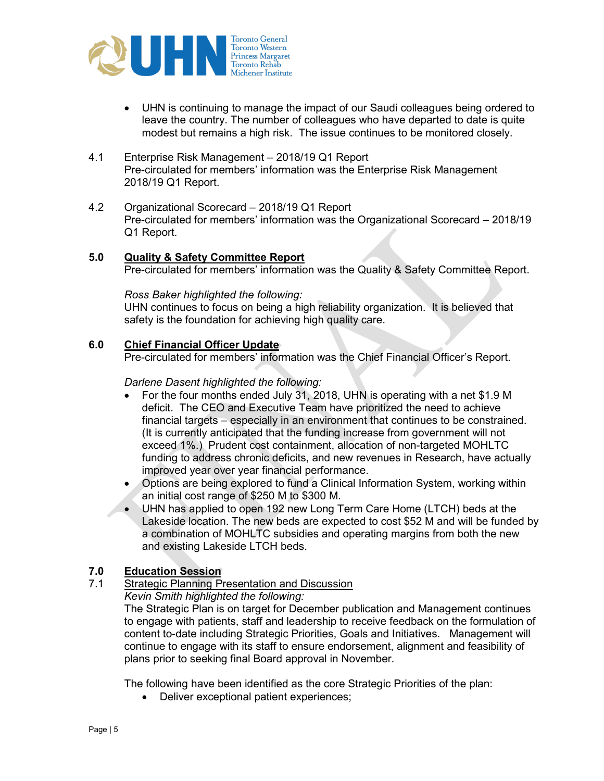

- UHN is continuing to manage the impact of our Saudi colleagues being ordered to leave the country. The number of colleagues who have departed to date is quite modest but remains a high risk. The issue continues to be monitored closely.
- 4.1 Enterprise Risk Management 2018/19 Q1 Report Pre-circulated for members' information was the Enterprise Risk Management 2018/19 Q1 Report.
- 4.2 Organizational Scorecard 2018/19 Q1 Report Pre-circulated for members' information was the Organizational Scorecard – 2018/19 Q1 Report.

## **5.0 Quality & Safety Committee Report**

Pre-circulated for members' information was the Quality & Safety Committee Report.

#### *Ross Baker highlighted the following:*

UHN continues to focus on being a high reliability organization. It is believed that safety is the foundation for achieving high quality care.

### **6.0 Chief Financial Officer Update**

Pre-circulated for members' information was the Chief Financial Officer's Report.

### *Darlene Dasent highlighted the following:*

- For the four months ended July 31, 2018, UHN is operating with a net \$1.9 M deficit. The CEO and Executive Team have prioritized the need to achieve financial targets – especially in an environment that continues to be constrained. (It is currently anticipated that the funding increase from government will not exceed 1%.) Prudent cost containment, allocation of non-targeted MOHLTC funding to address chronic deficits, and new revenues in Research, have actually improved year over year financial performance.
- Options are being explored to fund a Clinical Information System, working within an initial cost range of \$250 M to \$300 M.
- UHN has applied to open 192 new Long Term Care Home (LTCH) beds at the Lakeside location. The new beds are expected to cost \$52 M and will be funded by a combination of MOHLTC subsidies and operating margins from both the new and existing Lakeside LTCH beds.

### **7.0 Education Session**

7.1 Strategic Planning Presentation and Discussion *Kevin Smith highlighted the following:* 

The Strategic Plan is on target for December publication and Management continues to engage with patients, staff and leadership to receive feedback on the formulation of content to-date including Strategic Priorities, Goals and Initiatives. Management will continue to engage with its staff to ensure endorsement, alignment and feasibility of plans prior to seeking final Board approval in November.

The following have been identified as the core Strategic Priorities of the plan:

• Deliver exceptional patient experiences;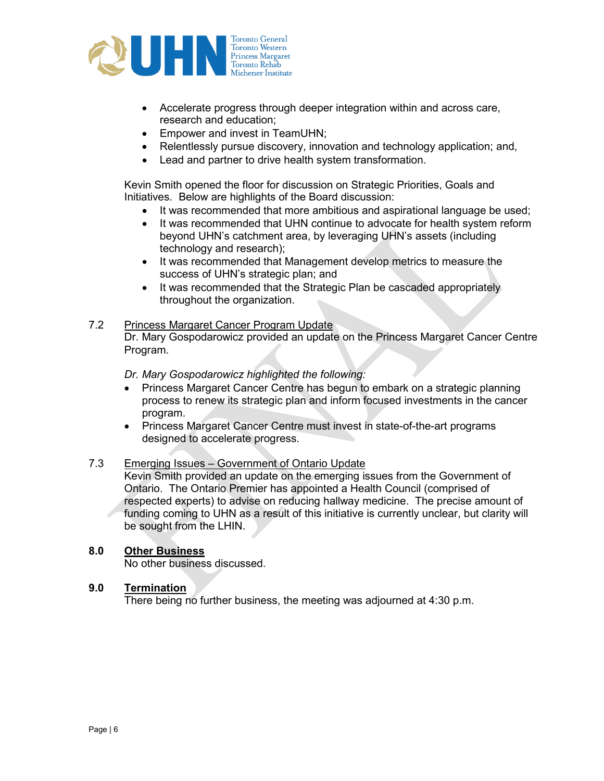

- Accelerate progress through deeper integration within and across care, research and education;
- Empower and invest in TeamUHN;
- Relentlessly pursue discovery, innovation and technology application; and,
- Lead and partner to drive health system transformation.

Kevin Smith opened the floor for discussion on Strategic Priorities, Goals and Initiatives. Below are highlights of the Board discussion:

- It was recommended that more ambitious and aspirational language be used;
- It was recommended that UHN continue to advocate for health system reform beyond UHN's catchment area, by leveraging UHN's assets (including technology and research);
- It was recommended that Management develop metrics to measure the success of UHN's strategic plan; and
- It was recommended that the Strategic Plan be cascaded appropriately throughout the organization.

## 7.2 Princess Margaret Cancer Program Update

Dr. Mary Gospodarowicz provided an update on the Princess Margaret Cancer Centre Program.

*Dr. Mary Gospodarowicz highlighted the following:* 

- Princess Margaret Cancer Centre has begun to embark on a strategic planning process to renew its strategic plan and inform focused investments in the cancer program.
- Princess Margaret Cancer Centre must invest in state-of-the-art programs designed to accelerate progress.

## 7.3 Emerging Issues – Government of Ontario Update

Kevin Smith provided an update on the emerging issues from the Government of Ontario. The Ontario Premier has appointed a Health Council (comprised of respected experts) to advise on reducing hallway medicine. The precise amount of funding coming to UHN as a result of this initiative is currently unclear, but clarity will be sought from the LHIN.

## **8.0 Other Business**

No other business discussed.

### **9.0 Termination**

There being no further business, the meeting was adjourned at 4:30 p.m.